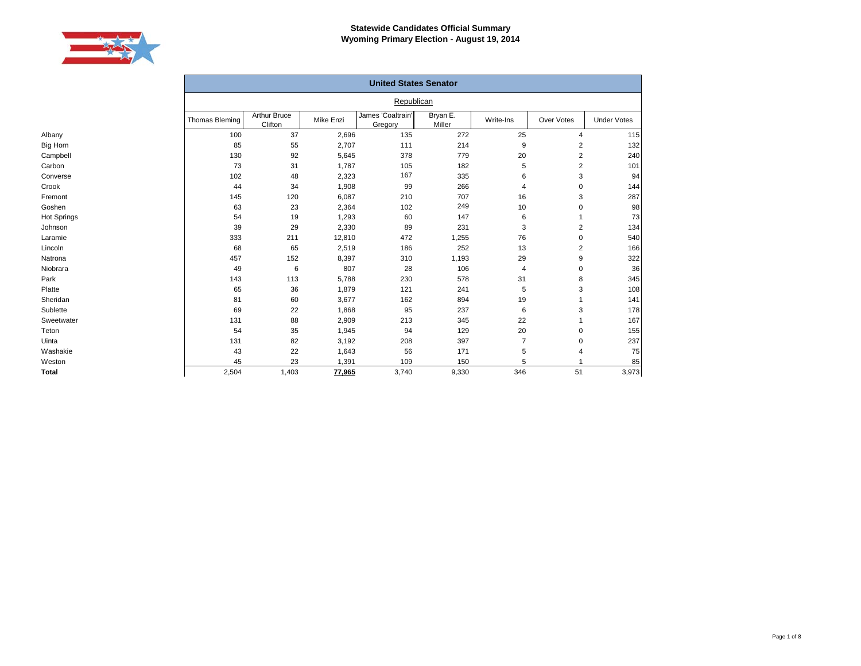

|             |                |                                |           | <b>United States Senator</b> |                    |           |                |                    |
|-------------|----------------|--------------------------------|-----------|------------------------------|--------------------|-----------|----------------|--------------------|
|             |                |                                |           | Republican                   |                    |           |                |                    |
|             | Thomas Bleming | <b>Arthur Bruce</b><br>Clifton | Mike Enzi | James 'Coaltrain'<br>Gregory | Bryan E.<br>Miller | Write-Ins | Over Votes     | <b>Under Votes</b> |
| Albany      | 100            | 37                             | 2,696     | 135                          | 272                | 25        | $\overline{4}$ | 115                |
| Big Horn    | 85             | 55                             | 2,707     | 111                          | 214                | 9         | 2              | 132                |
| Campbell    | 130            | 92                             | 5,645     | 378                          | 779                | 20        | 2              | 240                |
| Carbon      | 73             | 31                             | 1,787     | 105                          | 182                | 5         | $\overline{2}$ | 101                |
| Converse    | 102            | 48                             | 2,323     | 167                          | 335                | 6         | 3              | 94                 |
| Crook       | 44             | 34                             | 1,908     | 99                           | 266                | 4         | $\Omega$       | 144                |
| Fremont     | 145            | 120                            | 6,087     | 210                          | 707                | 16        | 3              | 287                |
| Goshen      | 63             | 23                             | 2,364     | 102                          | 249                | 10        | $\mathbf 0$    | 98                 |
| Hot Springs | 54             | 19                             | 1,293     | 60                           | 147                | 6         |                | 73                 |
| Johnson     | 39             | 29                             | 2,330     | 89                           | 231                | 3         | $\overline{2}$ | 134                |
| Laramie     | 333            | 211                            | 12,810    | 472                          | 1,255              | 76        | $\mathbf 0$    | 540                |
| Lincoln     | 68             | 65                             | 2,519     | 186                          | 252                | 13        | $\overline{2}$ | 166                |
| Natrona     | 457            | 152                            | 8,397     | 310                          | 1,193              | 29        | 9              | 322                |
| Niobrara    | 49             | 6                              | 807       | 28                           | 106                | 4         | $\mathbf 0$    | 36                 |
| Park        | 143            | 113                            | 5,788     | 230                          | 578                | 31        | 8              | 345                |
| Platte      | 65             | 36                             | 1,879     | 121                          | 241                | 5         | 3              | 108                |
| Sheridan    | 81             | 60                             | 3,677     | 162                          | 894                | 19        |                | 141                |
| Sublette    | 69             | 22                             | 1,868     | 95                           | 237                | 6         | 3              | 178                |
| Sweetwater  | 131            | 88                             | 2,909     | 213                          | 345                | 22        |                | 167                |
| Teton       | 54             | 35                             | 1,945     | 94                           | 129                | 20        | $\Omega$       | 155                |
| Uinta       | 131            | 82                             | 3,192     | 208                          | 397                | 7         | 0              | 237                |
| Washakie    | 43             | 22                             | 1,643     | 56                           | 171                | 5         |                | 75                 |
| Weston      | 45             | 23                             | 1,391     | 109                          | 150                | 5         |                | 85                 |
| Total       | 2,504          | 1,403                          | 77,965    | 3,740                        | 9,330              | 346       | 51             | 3,973              |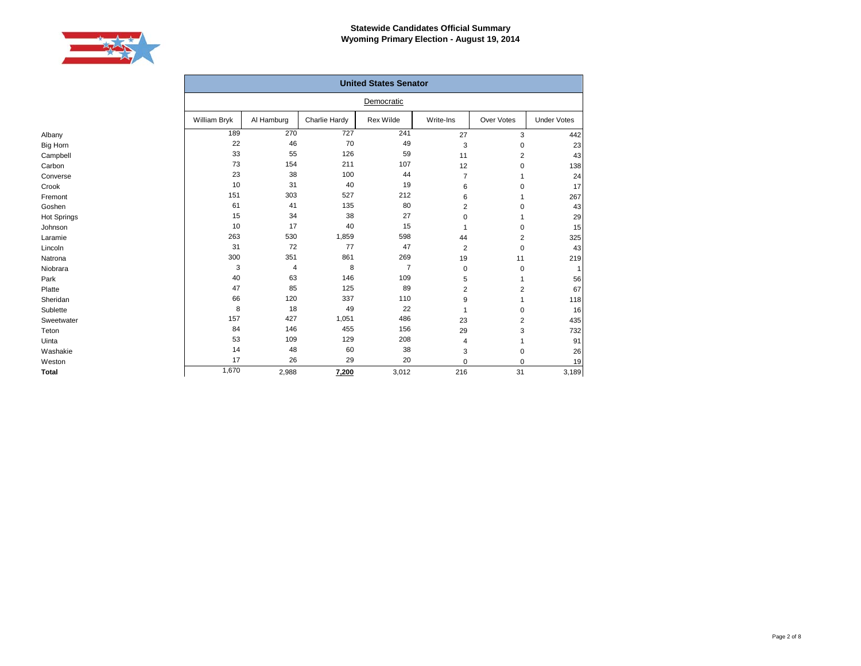

|                    |              |            |               | <b>United States Senator</b> |                         |                |                    |
|--------------------|--------------|------------|---------------|------------------------------|-------------------------|----------------|--------------------|
|                    |              |            |               | Democratic                   |                         |                |                    |
|                    | William Bryk | Al Hamburg | Charlie Hardy | <b>Rex Wilde</b>             | Write-Ins               | Over Votes     | <b>Under Votes</b> |
| Albany             | 189          | 270        | 727           | 241                          | 27                      | 3              | 442                |
| Big Horn           | 22           | 46         | 70            | 49                           | 3                       | 0              | 23                 |
| Campbell           | 33           | 55         | 126           | 59                           | 11                      | $\overline{2}$ | 43                 |
| Carbon             | 73           | 154        | 211           | 107                          | 12                      | 0              | 138                |
| Converse           | 23           | 38         | 100           | 44                           | $\overline{7}$          |                | 24                 |
| Crook              | 10           | 31         | 40            | 19                           | 6                       | 0              | 17                 |
| Fremont            | 151          | 303        | 527           | 212                          | 6                       |                | 267                |
| Goshen             | 61           | 41         | 135           | 80                           | $\overline{\mathbf{c}}$ | 0              | 43                 |
| <b>Hot Springs</b> | 15           | 34         | 38            | 27                           | 0                       |                | 29                 |
| Johnson            | 10           | 17         | 40            | 15                           |                         | 0              | 15                 |
| Laramie            | 263          | 530        | 1,859         | 598                          | 44                      | 2              | 325                |
| Lincoln            | 31           | 72         | 77            | 47                           | $\overline{2}$          | 0              | 43                 |
| Natrona            | 300          | 351        | 861           | 269                          | 19                      | 11             | 219                |
| Niobrara           | 3            | 4          | 8             | $\overline{7}$               | $\mathbf 0$             | 0              |                    |
| Park               | 40           | 63         | 146           | 109                          | 5                       |                | 56                 |
| Platte             | 47           | 85         | 125           | 89                           | 2                       | $\overline{2}$ | 67                 |
| Sheridan           | 66           | 120        | 337           | 110                          | 9                       |                | 118                |
| Sublette           | 8            | 18         | 49            | 22                           | -1                      | 0              | 16                 |
| Sweetwater         | 157          | 427        | 1,051         | 486                          | 23                      | $\overline{2}$ | 435                |
| Teton              | 84           | 146        | 455           | 156                          | 29                      | 3              | 732                |
| Uinta              | 53           | 109        | 129           | 208                          | 4                       |                | 91                 |
| Washakie           | 14           | 48         | 60            | 38                           | 3                       | 0              | 26                 |
| Weston             | 17           | 26         | 29            | 20                           | $\mathbf 0$             | 0              | 19                 |
| <b>Total</b>       | 1,670        | 2,988      | 7,200         | 3,012                        | 216                     | 31             | 3,189              |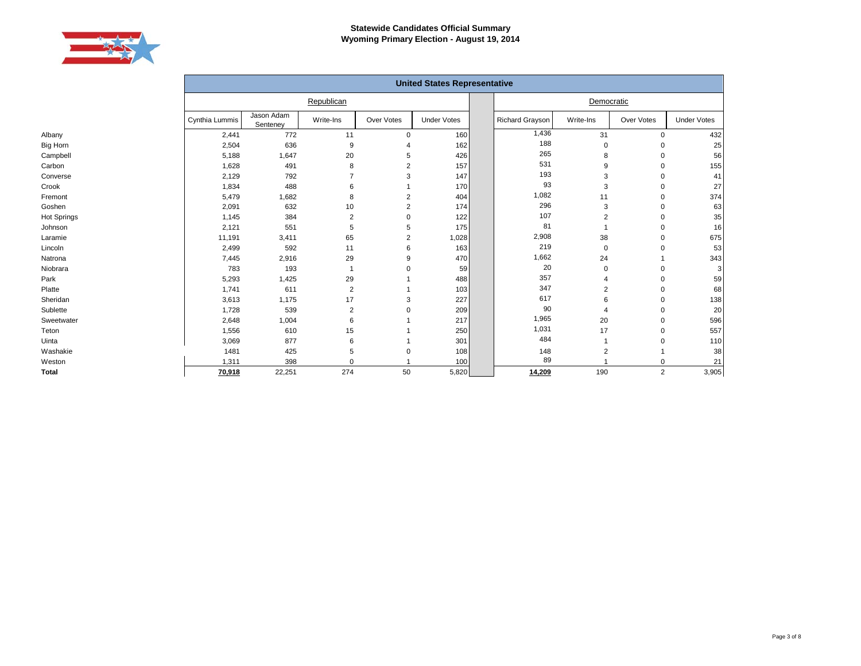

|                 |                |                        |                |                | <b>United States Representative</b> |                 |                |                |                    |
|-----------------|----------------|------------------------|----------------|----------------|-------------------------------------|-----------------|----------------|----------------|--------------------|
|                 |                |                        | Republican     |                |                                     |                 | Democratic     |                |                    |
|                 | Cynthia Lummis | Jason Adam<br>Senteney | Write-Ins      | Over Votes     | <b>Under Votes</b>                  | Richard Grayson | Write-Ins      | Over Votes     | <b>Under Votes</b> |
| Albany          | 2,441          | 772                    | 11             | $\mathbf 0$    | 160                                 | 1,436           | 31             | $\mathbf 0$    | 432                |
| <b>Big Horn</b> | 2,504          | 636                    | 9              | $\overline{4}$ | 162                                 | 188             | $\mathbf 0$    | $\Omega$       | 25                 |
| Campbell        | 5,188          | 1,647                  | 20             | 5              | 426                                 | 265             | 8              | $\Omega$       | 56                 |
| Carbon          | 1,628          | 491                    | 8              | 2              | 157                                 | 531             | 9              | $\Omega$       | 155                |
| Converse        | 2,129          | 792                    | 7              | 3              | 147                                 | 193             | 3              | $\Omega$       | 41                 |
| Crook           | 1,834          | 488                    | 6              |                | 170                                 | 93              | 3              | $\Omega$       | 27                 |
| Fremont         | 5,479          | 1,682                  | 8              | 2              | 404                                 | 1,082           | 11             | $\mathbf 0$    | 374                |
| Goshen          | 2,091          | 632                    | 10             | $\overline{2}$ | 174                                 | 296             | 3              | $\mathbf 0$    | 63                 |
| Hot Springs     | 1,145          | 384                    | $\overline{2}$ | $\Omega$       | 122                                 | 107             | $\overline{2}$ | $\mathbf 0$    | 35                 |
| Johnson         | 2,121          | 551                    | 5              | 5              | 175                                 | 81              |                | $\mathbf 0$    | 16                 |
| Laramie         | 11,191         | 3,411                  | 65             | 2              | 1,028                               | 2,908           | 38             | $\mathbf 0$    | 675                |
| Lincoln         | 2,499          | 592                    | 11             | 6              | 163                                 | 219             | 0              | $\Omega$       | 53                 |
| Natrona         | 7,445          | 2,916                  | 29             | 9              | 470                                 | 1,662           | 24             |                | 343                |
| Niobrara        | 783            | 193                    |                |                | 59                                  | 20              | 0              |                | 3                  |
| Park            | 5,293          | 1,425                  | 29             |                | 488                                 | 357             | 4              | $\Omega$       | 59                 |
| Platte          | 1,741          | 611                    | $\overline{2}$ |                | 103                                 | 347             | $\overline{2}$ |                | 68                 |
| Sheridan        | 3,613          | 1,175                  | 17             |                | 227                                 | 617             | 6              | $\Omega$       | 138                |
| Sublette        | 1,728          | 539                    | $\overline{2}$ |                | 209                                 | 90              | 4              | $\Omega$       | 20                 |
| Sweetwater      | 2,648          | 1,004                  | 6              |                | 217                                 | 1,965           | 20             | $\Omega$       | 596                |
| Teton           | 1,556          | 610                    | 15             |                | 250                                 | 1,031           | 17             | $\mathbf 0$    | 557                |
| Uinta           | 3,069          | 877                    | 6              |                | 301                                 | 484             |                | $\mathbf 0$    | 110                |
| Washakie        | 1481           | 425                    | 5              |                | 108                                 | 148             | 2              |                | 38                 |
| Weston          | 1,311          | 398                    | $\Omega$       |                | 100                                 | 89              |                | $\mathbf 0$    | 21                 |
| <b>Total</b>    | 70,918         | 22,251                 | 274            | 50             | 5,820                               | 14,209          | 190            | $\overline{2}$ | 3,905              |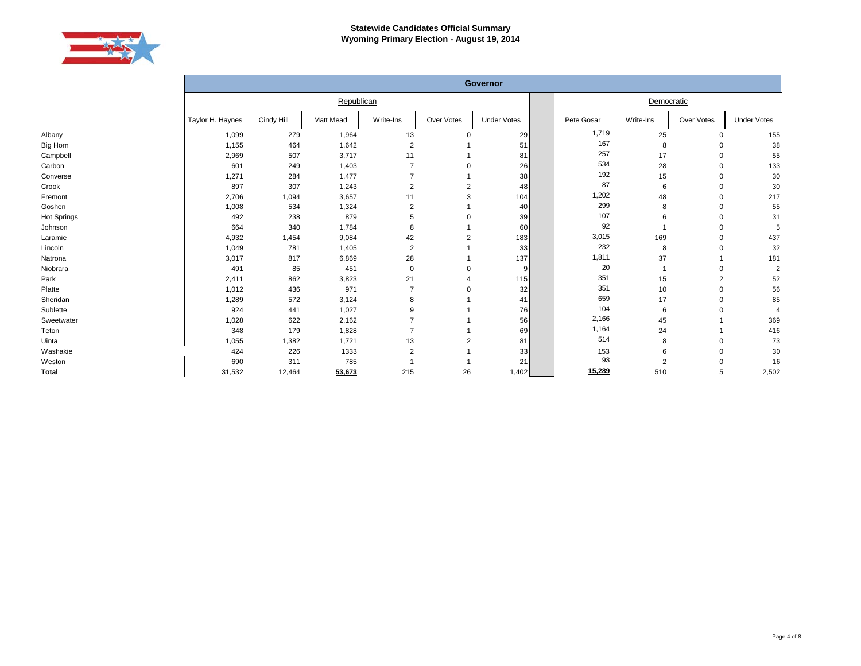

|              | Governor         |            |                  |                |                |                    |  |            |                |             |                    |
|--------------|------------------|------------|------------------|----------------|----------------|--------------------|--|------------|----------------|-------------|--------------------|
|              |                  |            | Republican       |                |                |                    |  |            | Democratic     |             |                    |
|              | Taylor H. Haynes | Cindy Hill | <b>Matt Mead</b> | Write-Ins      | Over Votes     | <b>Under Votes</b> |  | Pete Gosar | Write-Ins      | Over Votes  | <b>Under Votes</b> |
| Albany       | 1,099            | 279        | 1,964            | 13             | $\Omega$       | 29                 |  | 1,719      | 25             | $\mathbf 0$ | 155                |
| Big Horn     | 1,155            | 464        | 1,642            | $\overline{2}$ |                | 51                 |  | 167        | 8              | 0           | 38                 |
| Campbell     | 2,969            | 507        | 3,717            | 11             |                | 81                 |  | 257        | 17             | $\Omega$    | 55                 |
| Carbon       | 601              | 249        | 1,403            |                |                | 26                 |  | 534        | 28             | $\Omega$    | 133                |
| Converse     | 1,271            | 284        | 1,477            |                |                | 38                 |  | 192        | 15             | $\Omega$    | 30                 |
| Crook        | 897              | 307        | 1,243            | $\overline{2}$ | 2              | 48                 |  | 87         | 6              | $\Omega$    | 30                 |
| Fremont      | 2,706            | 1,094      | 3,657            | 11             | 3              | 104                |  | 1,202      | 48             | $\Omega$    | 217                |
| Goshen       | 1,008            | 534        | 1,324            | 2              |                | 40                 |  | 299        | 8              |             | 55                 |
| Hot Springs  | 492              | 238        | 879              | 5              |                | 39                 |  | 107        | 6              |             | 31                 |
| Johnson      | 664              | 340        | 1,784            | 8              |                | 60                 |  | 92         |                |             | 5 <sup>1</sup>     |
| Laramie      | 4,932            | 1,454      | 9,084            | 42             | $\overline{2}$ | 183                |  | 3,015      | 169            |             | 437                |
| Lincoln      | 1,049            | 781        | 1,405            | $\overline{2}$ |                | 33                 |  | 232        | 8              |             | 32                 |
| Natrona      | 3,017            | 817        | 6,869            | 28             |                | 137                |  | 1,811      | 37             |             | 181                |
| Niobrara     | 491              | 85         | 451              | 0              |                |                    |  | 20         |                | $\Omega$    | $\overline{2}$     |
| Park         | 2,411            | 862        | 3,823            | 21             |                | 115                |  | 351        | 15             | 2           | 52                 |
| Platte       | 1,012            | 436        | 971              | $\overline{7}$ |                | 32                 |  | 351        | 10             | $\Omega$    | 56                 |
| Sheridan     | 1,289            | 572        | 3,124            | 8              |                | 41                 |  | 659        | 17             |             | 85                 |
| Sublette     | 924              | 441        | 1,027            | 9              |                | 76                 |  | 104        | 6              | $\Omega$    | $\overline{4}$     |
| Sweetwater   | 1,028            | 622        | 2,162            |                |                | 56                 |  | 2,166      | 45             |             | 369                |
| Teton        | 348              | 179        | 1,828            |                |                | 69                 |  | 1,164      | 24             |             | 416                |
| Uinta        | 1,055            | 1,382      | 1,721            | 13             | 2              | 81                 |  | 514        | 8              | $\Omega$    | 73                 |
| Washakie     | 424              | 226        | 1333             | 2              |                | 33                 |  | 153        | 6              | $\Omega$    | 30                 |
| Weston       | 690              | 311        | 785              |                |                | 21                 |  | 93         | $\overline{2}$ | $\Omega$    | 16                 |
| <b>Total</b> | 31,532           | 12,464     | 53,673           | 215            | 26             | 1,402              |  | 15,289     | 510            | 5           | 2,502              |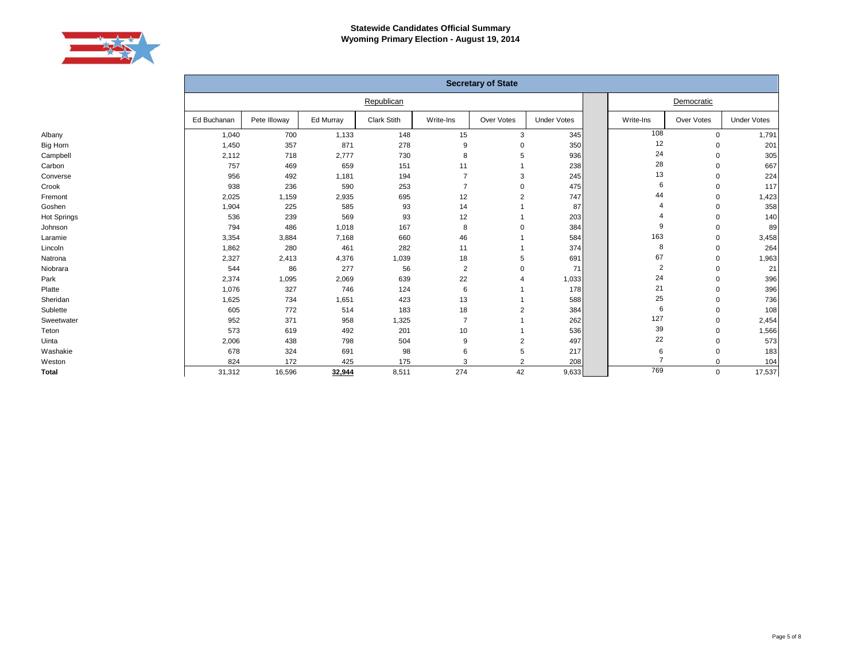

|                 |             |              |           |             |                | <b>Secretary of State</b> |                    |                         |            |                    |
|-----------------|-------------|--------------|-----------|-------------|----------------|---------------------------|--------------------|-------------------------|------------|--------------------|
|                 |             |              |           | Republican  |                |                           |                    | Democratic              |            |                    |
|                 | Ed Buchanan | Pete Illoway | Ed Murray | Clark Stith | Write-Ins      | Over Votes                | <b>Under Votes</b> | Write-Ins               | Over Votes | <b>Under Votes</b> |
| Albany          | 1,040       | 700          | 1,133     | 148         | 15             | 3                         | 345                | 108                     | 0          | 1,791              |
| <b>Big Horn</b> | 1,450       | 357          | 871       | 278         | 9              | $\Omega$                  | 350                | 12                      | 0          | 201                |
| Campbell        | 2,112       | 718          | 2,777     | 730         | 8              | 5                         | 936                | 24                      | 0          | 305                |
| Carbon          | 757         | 469          | 659       | 151         | 11             |                           | 238                | 28                      | $\Omega$   | 667                |
| Converse        | 956         | 492          | 1,181     | 194         |                | 3                         | 245                | 13                      | 0          | 224                |
| Crook           | 938         | 236          | 590       | 253         | $\overline{7}$ | $\Omega$                  | 475                | 6                       | $\Omega$   | 117                |
| Fremont         | 2,025       | 1,159        | 2,935     | 695         | 12             | $\overline{2}$            | 747                | 44                      | $\Omega$   | 1,423              |
| Goshen          | 1,904       | 225          | 585       | 93          | 14             |                           | 87                 | Δ                       | $\Omega$   | 358                |
| Hot Springs     | 536         | 239          | 569       | 93          | 12             |                           | 203                |                         | $\Omega$   | 140                |
| Johnson         | 794         | 486          | 1,018     | 167         | 8              | $\Omega$                  | 384                | 9                       | 0          | 89                 |
| Laramie         | 3,354       | 3,884        | 7,168     | 660         | 46             |                           | 584                | 163                     | 0          | 3,458              |
| Lincoln         | 1,862       | 280          | 461       | 282         | 11             |                           | 374                | 8                       | 0          | 264                |
| Natrona         | 2,327       | 2,413        | 4,376     | 1,039       | 18             | 5                         | 691                | 67                      | 0          | 1,963              |
| Niobrara        | 544         | 86           | 277       | 56          | $\overline{2}$ | $\Omega$                  | 71                 | $\overline{\mathbf{c}}$ | $\Omega$   | 21                 |
| Park            | 2,374       | 1,095        | 2,069     | 639         | 22             |                           | 1,033              | 24                      | 0          | 396                |
| Platte          | 1,076       | 327          | 746       | 124         | 6              |                           | 178                | 21                      | 0          | 396                |
| Sheridan        | 1,625       | 734          | 1,651     | 423         | 13             |                           | 588                | 25                      | 0          | 736                |
| Sublette        | 605         | 772          | 514       | 183         | 18             | 2                         | 384                | 6                       | $\Omega$   | 108                |
| Sweetwater      | 952         | 371          | 958       | 1,325       |                |                           | 262                | 127                     | $\Omega$   | 2,454              |
| Teton           | 573         | 619          | 492       | 201         | 10             |                           | 536                | 39                      | 0          | 1,566              |
| Uinta           | 2,006       | 438          | 798       | 504         | 9              | $\overline{2}$            | 497                | 22                      | 0          | 573                |
| Washakie        | 678         | 324          | 691       | 98          | 6              | 5                         | 217                | 6                       | 0          | 183                |
| Weston          | 824         | 172          | 425       | 175         | 3              | 2                         | 208                | $\overline{7}$          | 0          | 104                |
| <b>Total</b>    | 31,312      | 16,596       | 32,944    | 8,511       | 274            | 42                        | 9,633              | 769                     | 0          | 17,537             |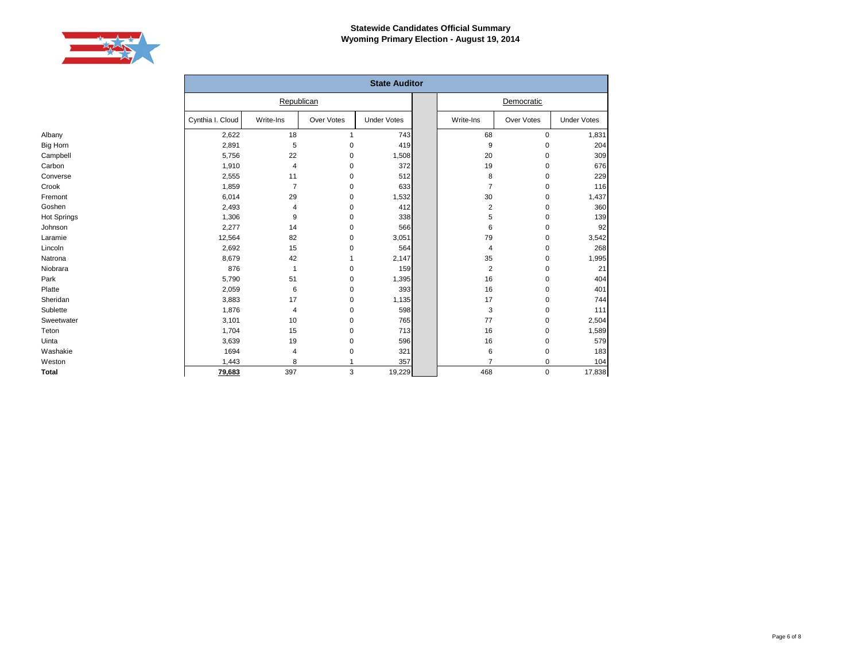

Albany Big Horn Campbell Carbon Converse Crook Fremont Goshen Hot Springs Johnson Laramie Lincoln Natrona Niobrara Park Platte Sheridan Sublette Sweetwater Teton Uinta Washakie Weston **Total**

|                  |                |              | <b>State Auditor</b> |                |            |                    |
|------------------|----------------|--------------|----------------------|----------------|------------|--------------------|
|                  | Republican     |              |                      |                | Democratic |                    |
| Cynthia I. Cloud | Write-Ins      | Over Votes   | <b>Under Votes</b>   | Write-Ins      | Over Votes | <b>Under Votes</b> |
| 2,622            | 18             | $\mathbf{1}$ | 743                  | 68             | 0          | 1,831              |
| 2,891            | 5              | $\mathbf 0$  | 419                  | 9              | 0          | 204                |
| 5,756            | 22             | 0            | 1,508                | 20             | 0          | 309                |
| 1,910            | $\overline{4}$ | 0            | 372                  | 19             | 0          | 676                |
| 2,555            | 11             | 0            | 512                  | 8              | 0          | 229                |
| 1,859            | $\overline{7}$ | 0            | 633                  | $\overline{7}$ | 0          | 116                |
| 6,014            | 29             | $\mathbf 0$  | 1,532                | 30             | 0          | 1,437              |
| 2,493            | 4              | $\mathbf 0$  | 412                  | $\overline{2}$ | 0          | 360                |
| 1,306            | 9              | 0            | 338                  | 5              | 0          | 139                |
| 2,277            | 14             | $\mathbf 0$  | 566                  | 6              | 0          | 92                 |
| 12,564           | 82             | $\mathbf 0$  | 3,051                | 79             | 0          | 3,542              |
| 2,692            | 15             | $\mathbf 0$  | 564                  | $\overline{4}$ | 0          | 268                |
| 8,679            | 42             | 1            | 2,147                | 35             | 0          | 1,995              |
| 876              | $\mathbf{1}$   | 0            | 159                  | $\overline{2}$ | 0          | 21                 |
| 5,790            | 51             | 0            | 1,395                | 16             | 0          | 404                |
| 2,059            | 6              | $\mathbf 0$  | 393                  | 16             | 0          | 401                |
| 3,883            | 17             | $\mathbf 0$  | 1,135                | 17             | 0          | 744                |
| 1,876            | 4              | 0            | 598                  | 3              | 0          | 111                |
| 3,101            | 10             | 0            | 765                  | 77             | 0          | 2,504              |
| 1,704            | 15             | 0            | 713                  | 16             | 0          | 1,589              |
| 3,639            | 19             | 0            | 596                  | 16             | 0          | 579                |
| 1694             | 4              | 0            | 321                  | 6              | 0          | 183                |
| 1,443            | 8              |              | 357                  | $\overline{7}$ | 0          | 104                |
| 79,683           | 397            | 3            | 19,229               | 468            | 0          | 17,838             |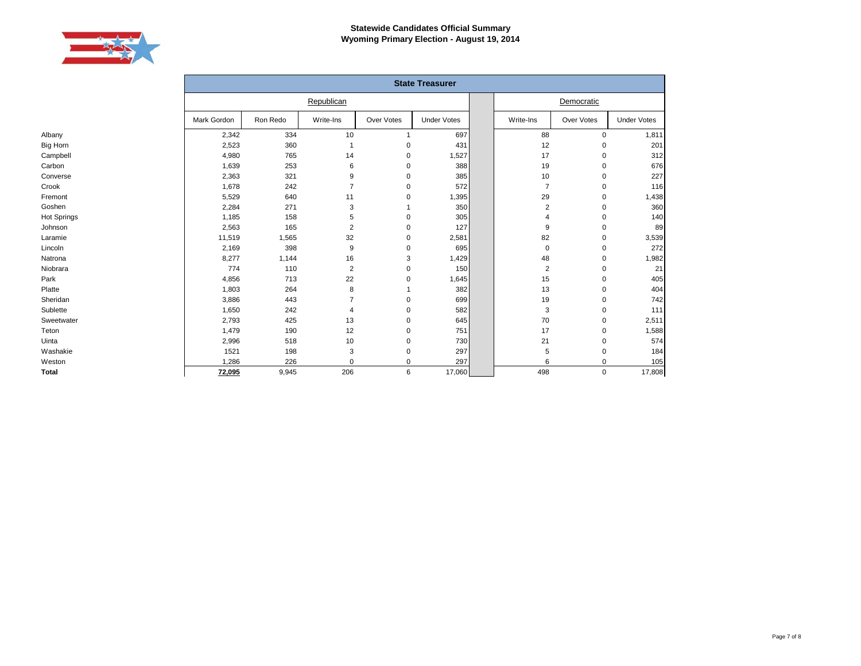

|                 |             |          |                |            | <b>State Treasurer</b> |  |                |             |                    |  |
|-----------------|-------------|----------|----------------|------------|------------------------|--|----------------|-------------|--------------------|--|
|                 | Republican  |          |                |            |                        |  |                | Democratic  |                    |  |
|                 | Mark Gordon | Ron Redo | Write-Ins      | Over Votes | <b>Under Votes</b>     |  | Write-Ins      | Over Votes  | <b>Under Votes</b> |  |
| Albany          | 2,342       | 334      | 10             |            | 697                    |  | 88             | $\mathbf 0$ | 1,811              |  |
| <b>Big Horn</b> | 2,523       | 360      | 1              | 0          | 431                    |  | 12             | $\Omega$    | 201                |  |
| Campbell        | 4,980       | 765      | 14             | 0          | 1,527                  |  | 17             | 0           | 312                |  |
| Carbon          | 1,639       | 253      | 6              | 0          | 388                    |  | 19             | 0           | 676                |  |
| Converse        | 2,363       | 321      | 9              | 0          | 385                    |  | 10             | 0           | 227                |  |
| Crook           | 1,678       | 242      | $\overline{7}$ | 0          | 572                    |  | $\overline{7}$ | 0           | 116                |  |
| Fremont         | 5,529       | 640      | 11             | $\pmb{0}$  | 1,395                  |  | 29             | $\mathbf 0$ | 1,438              |  |
| Goshen          | 2,284       | 271      | 3              |            | 350                    |  | $\overline{2}$ | $\mathbf 0$ | 360                |  |
| Hot Springs     | 1,185       | 158      | 5              | $\pmb{0}$  | 305                    |  | 4              | 0           | 140                |  |
| Johnson         | 2,563       | 165      | 2              | $\pmb{0}$  | 127                    |  | 9              | $\mathbf 0$ | 89                 |  |
| Laramie         | 11,519      | 1,565    | 32             | 0          | 2,581                  |  | 82             | 0           | 3,539              |  |
| Lincoln         | 2,169       | 398      | 9              | $\pmb{0}$  | 695                    |  | 0              | 0           | 272                |  |
| Natrona         | 8,277       | 1,144    | 16             | 3          | 1,429                  |  | 48             | 0           | 1,982              |  |
| Niobrara        | 774         | 110      | $\overline{2}$ | $\pmb{0}$  | 150                    |  | $\overline{2}$ | 0           | 21                 |  |
| Park            | 4,856       | 713      | 22             | 0          | 1,645                  |  | 15             | 0           | 405                |  |
| Platte          | 1,803       | 264      | 8              |            | 382                    |  | 13             | 0           | 404                |  |
| Sheridan        | 3,886       | 443      | 7              | 0          | 699                    |  | 19             | 0           | 742                |  |
| Sublette        | 1,650       | 242      | 4              | 0          | 582                    |  | 3              | 0           | 111                |  |
| Sweetwater      | 2,793       | 425      | 13             | 0          | 645                    |  | 70             | 0           | 2,511              |  |
| Teton           | 1,479       | 190      | 12             | 0          | 751                    |  | 17             | 0           | 1,588              |  |
| Uinta           | 2,996       | 518      | 10             | 0          | 730                    |  | 21             | 0           | 574                |  |
| Washakie        | 1521        | 198      | 3              | 0          | 297                    |  | 5              | 0           | 184                |  |
| Weston          | 1,286       | 226      | 0              | 0          | 297                    |  | 6              | 0           | 105                |  |
| <b>Total</b>    | 72,095      | 9,945    | 206            | 6          | 17,060                 |  | 498            | $\mathbf 0$ | 17,808             |  |